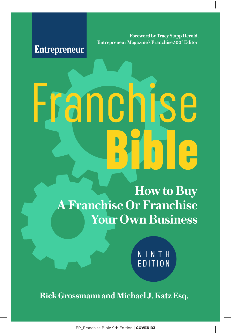**Foreword by Tracy Stapp Herold, Entrepreneur Magazine's Franchise 500® Editor**

**Entrepreneur** 

# Franchise Bible

**How to Buy A Franchise Or Franchise Your Own Business**

> NINTH **EDITION**

**Rick Grossmann and Michael J. Katz Esq.**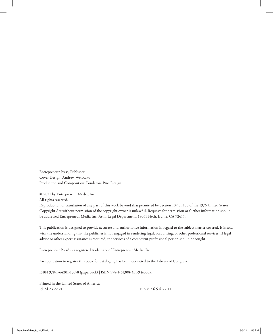Entrepreneur Press, Publisher Cover Design: Andrew Welyczko Production and Composition: Ponderosa Pine Design

© 2021 by Entrepreneur Media, Inc. All rights reserved.

Reproduction or translation of any part of this work beyond that permitted by Section 107 or 108 of the 1976 United States Copyright Act without permission of the copyright owner is unlawful. Requests for permission or further information should be addressed Entrepreneur Media Inc. Attn: Legal Department, 18061 Fitch, Irvine, CA 92614.

This publication is designed to provide accurate and authoritative information in regard to the subject matter covered. It is sold with the understanding that the publisher is not engaged in rendering legal, accounting, or other professional services. If legal advice or other expert assistance is required, the services of a competent professional person should be sought.

Entrepreneur Press® is a registered trademark of Entrepreneur Media, Inc.

An application to register this book for cataloging has been submitted to the Library of Congress.

ISBN 978-1-64201-138-8 (paperback) | ISBN 978-1-61308-451-9 (ebook)

Printed in the United States of America 25 24 23 22 21 10 9 8 7 6 5 4 3 2 11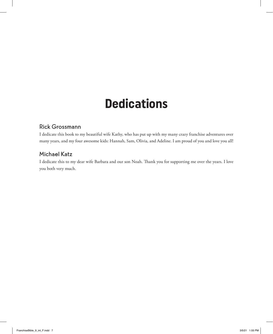# **Dedications**

# Rick Grossmann

I dedicate this book to my beautiful wife Kathy, who has put up with my many crazy franchise adventures over many years, and my four awesome kids: Hannah, Sam, Olivia, and Adeline. I am proud of you and love you all!

## Michael Katz

I dedicate this to my dear wife Barbara and our son Noah. Thank you for supporting me over the years. I love you both very much.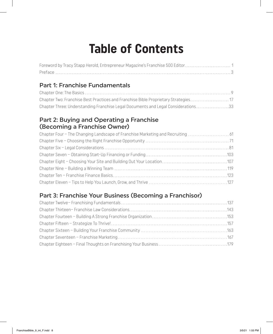# **Table of Contents**

# Part 1: Franchise Fundamentals

| Chapter Two: Franchise Best Practices and Franchise Bible Proprietary Strategies 17 |  |
|-------------------------------------------------------------------------------------|--|
| Chapter Three: Understanding Franchise Legal Documents and Legal Considerations33   |  |

# Part 2: Buying and Operating a Franchise (Becoming a Franchise Owner)

| Chapter Four - The Changing Landscape of Franchise Marketing and Recruiting  61 |  |
|---------------------------------------------------------------------------------|--|
|                                                                                 |  |
|                                                                                 |  |
|                                                                                 |  |
|                                                                                 |  |
|                                                                                 |  |
|                                                                                 |  |
|                                                                                 |  |

# Part 3: Franchise Your Business (Becoming a Franchisor)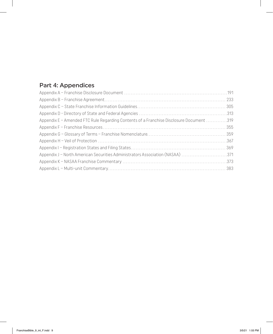# Part 4: Appendices

 $\overline{\phantom{a}}$ 

| Appendix E – Amended FTC Rule Regarding Contents of a Franchise Disclosure Document 319 |  |
|-----------------------------------------------------------------------------------------|--|
|                                                                                         |  |
|                                                                                         |  |
|                                                                                         |  |
|                                                                                         |  |
| Appendix J - North American Securities Administrators Association (NASAA) 371           |  |
|                                                                                         |  |
|                                                                                         |  |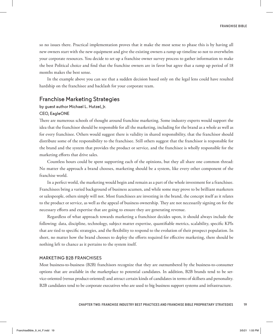so no issues there. Practical implementation proves that it make the most sense to phase this is by having all new owners start with the new equipment and give the existing owners a ramp up timeline so not to overwhelm your corporate resources. You decide to set up a franchise owner survey process to gather information to make the best Political choice and find that the franchise owners are in favor but agree that a ramp up period of 18 months makes the best sense.

In the example above you can see that a sudden decision based only on the legal lens could have resulted hardship on the franchisee and backlash for your corporate team.

#### Franchise Marketing Strategies

by guest author Michael L. Hutzel, Jr.

#### CEO, EagleONE

There are numerous schools of thought around franchise marketing. Some industry experts would support the idea that the franchisor should be responsible for all the marketing, including for the brand as a whole as well as for every franchisee. Others would suggest there is validity in shared responsibility, that the franchisor should distribute some of the responsibility to the franchisee. Still others suggest that the franchisor is responsible for the brand and the system that provides the product or service, and the franchisee is wholly responsible for the marketing efforts that drive sales.

Countless hours could be spent supporting each of the opinions, but they all share one common thread: No matter the approach a brand chooses, marketing should be a system, like every other component of the franchise world.

In a perfect world, the marketing would begin and remain as a part of the whole investment for a franchisee. Franchisees bring a varied background of business acumen, and while some may prove to be brilliant marketers or salespeople, others simply will not. Most franchisees are investing in the brand, the concept itself as it relates to the product or service, as well as the appeal of business ownership. They are not necessarily signing on for the necessary efforts and expertise that are going to ensure they are generating revenue.

Regardless of what approach towards marketing a franchisor decides upon, it should always include the following: data, discipline, technology, subject matter expertise, quantifiable metrics, scalability, specific KPIs that are tied to specific strategies, and the flexibility to respond to the evolution of their prospect population. In short, no matter how the brand chooses to deploy the efforts required for effective marketing, there should be nothing left to chance as it pertains to the system itself.

#### MARKETING B2B FRANCHISES

Most business-to-business (B2B) franchisors recognize that they are outnumbered by the business-to-consumer options that are available in the marketplace to potential candidates. In addition, B2B brands tend to be service-oriented (versus product-oriented) and attract certain kinds of candidates in terms of skillsets and personality. B2B candidates tend to be corporate executives who are used to big business support systems and infrastructure.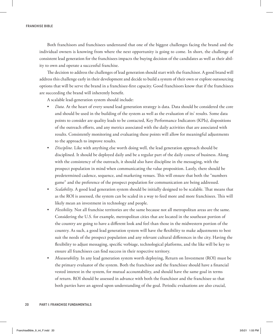#### FRANCHISE BIBLE

Both franchisors and franchisees understand that one of the biggest challenges facing the brand and the individual owners is knowing from where the next opportunity is going to come. In short, the challenge of consistent lead generation for the franchisees impacts the buying decision of the candidates as well as their ability to own and operate a successful franchise.

The decision to address the challenges of lead generation should start with the franchisor. A good brand will address this challenge early in their development and decide to build a system of their own or explore outsourcing options that will be serve the brand in a franchisee-first capacity. Good franchisors know that if the franchisees are succeeding the brand will inherently benefit.

A scalable lead-generation system should include:

- *Data.* At the heart of every sound lead generation strategy is data. Data should be considered the core and should be used in the building of the system as well as the evaluation of its' results. Some data points to consider are quality leads to be contacted, Key Performance Indicators (KPIs), dispositions of the outreach efforts, and any metrics associated with the daily activities that are associated with results. Consistently monitoring and evaluating these points will allow for meaningful adjustments to the approach to improve results.
- *Discipline.* Like with anything else worth doing well, the lead generation approach should be disciplined. It should be deployed daily and be a regular part of the daily course of business. Along with the consistency of the outreach, it should also have discipline in the messaging, with the prospect population in mind when communicating the value proposition. Lastly, there should be predetermined cadence, sequence, and marketing venues. This will ensure that both the "numbers game" and the preference of the prospect population for communication are being addressed.
- *Scalability.* A good lead generation system should be initially designed to be scalable. That means that as the ROI is assessed, the system can be scaled in a way to feed more and more franchisees. This will likely mean an investment in technology and people.
- *Flexibility.* Not all franchise territories are the same because not all metropolitan areas are the same. Considering the U.S. for example, metropolitan cities that are located in the southeast portion of the country are going to have a different look and feel than those in the midwestern portion of the country. As such, a good lead generation system will have the flexibility to make adjustments to best suit the needs of the prospect population and any relevant cultural differences in the city. Having the flexibility to adjust messaging, specific verbiage, technological platforms, and the like will be key to ensure all franchisees can find success in their respective territory.
- *Measurability.* In any lead generation system worth deploying, Return on Investment (ROI) must be the primary evaluator of the system. Both the franchisor and the franchisee should have a financial vested interest in the system, for mutual accountability, and should have the same goal in terms of return. ROI should be assessed in advance with both the franchisor and the franchisee so that both parties have an agreed upon understanding of the goal. Periodic evaluations are also crucial,

#### 20 PART I: FRANCHISE FUNDAMENTALS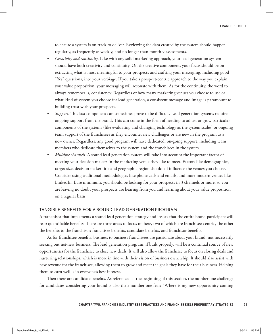to ensure a system is on track to deliver. Reviewing the data created by the system should happen regularly, as frequently as weekly, and no longer than monthly assessments.

- *Creativity and continuity.* Like with any solid marketing approach, your lead generation system should have both creativity and continuity. On the creative component, your focus should be on extracting what is most meaningful to your prospects and crafting your messaging, including good "Yes" questions, into your verbiage. If you take a prospect-centric approach to the way you explain your value proposition, your messaging will resonate with them. As for the continuity, the word to always remember is, consistency. Regardless of how many marketing venues you choose to use or what kind of system you choose for lead generation, a consistent message and image is paramount to building trust with your prospects.
- *Support.* This last component can sometimes prove to be difficult. Lead generation systems require ongoing support from the brand. This can come in the form of needing to adjust or grow particular components of the systems (like evaluating and changing technology as the system scales) or ongoing team support of the franchisees as they encounter new challenges or are new in the program as a new owner. Regardless, any good program will have dedicated, on-going support, including team members who dedicate themselves to the system and the franchisees in the system.
- *Multiple channels.* A sound lead generation system will take into account the important factor of meeting your decision makers in the marketing venue they like to meet. Factors like demographics, target size, decision maker title and geographic region should all influence the venues you choose. Consider using traditional methodologies like phone calls and emails, and more modern venues like LinkedIn. Bare minimum, you should be looking for your prospects in 3 channels or more, so you are leaving no doubt your prospects are hearing from you and learning about your value proposition on a regular basis.

#### TANGIBLE BENEFITS FOR A SOUND LEAD GENERATION PROGRAM

A franchisor that implements a sound lead generation strategy and insists that the entire brand participate will reap quantifiable benefits. There are three areas to focus on here, two of which are franchisee-centric, the other the benefits to the franchisor: franchisee benefits, candidate benefits, and franchisor benefits.

As for franchisee benefits, business to business franchisees are passionate about your brand, not necessarily seeking out net-new business. The lead generation program, if built properly, will be a continual source of new opportunities for the franchisee to close new deals. It will also allow the franchisee to focus on closing deals and nurturing relationships, which is more in line with their vision of business ownership. It should also assist with new revenue for the franchisee, allowing them to grow and meet the goals they have for their business. Helping them to earn well is in everyone's best interest.

Then there are candidate benefits. As referenced at the beginning of this section, the number one challenge for candidates considering your brand is also their number one fear: "Where is my new opportunity coming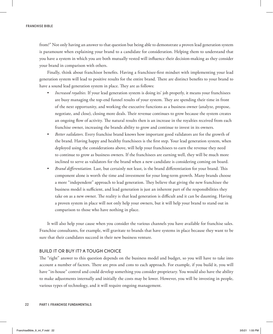#### FRANCHISE BIBLE

from?" Not only having an answer to that question but being able to demonstrate a proven lead generation system is paramount when explaining your brand to a candidate for consideration. Helping them to understand that you have a system in which you are both mutually vested will influence their decision-making as they consider your brand in comparison with others.

Finally, think about franchisor benefits. Having a franchisee-first mindset with implementing your lead generation system will lead to positive results for the entire brand. There are distinct benefits to your brand to have a sound lead generation system in place. They are as follows:

- *Increased royalties.* If your lead generation system is doing its' job properly, it means your franchisees are busy managing the top-end funnel results of your system. They are spending their time in front of the next opportunity, and working the executive functions as a business owner (analyze, propose, negotiate, and close), closing more deals. Their revenue continues to grow because the system creates an ongoing flow of activity. The natural results then is an increase in the royalties received from each franchise owner, increasing the brands ability to grow and continue to invest in its owners.
- *Better validators.* Every franchise brand knows how important good validators are for the growth of the brand. Having happy and healthy franchisees is the first step. Your lead generation system, when deployed using the considerations above, will help your franchisees to earn the revenue they need to continue to grow as business owners. If the franchisees are earning well, they will be much more inclined to serve as validators for the brand when a new candidate is considering coming on board.
- *Brand differentiation.* Last, but certainly not least, is the brand differentiation for your brand. This component alone is worth the time and investment for your long-term growth. Many brands choose a more "independent" approach to lead generation. They believe that giving the new franchisee the business model is sufficient, and lead generation is just an inherent part of the responsibilities they take on as a new owner. The reality is that lead generation is difficult and it can be daunting. Having a proven system in place will not only help your owners, but it will help your brand to stand out in comparison to those who have nothing in place.

It will also help your cause when you consider the various channels you have available for franchise sales. Franchise consultants, for example, will gravitate to brands that have systems in place because they want to be sure that their candidates succeed in their new business venture.

#### BUILD IT OR BUY IT? A TOUGH CHOICE

The "right" answer to this question depends on the business model and budget, so you will have to take into account a number of factors. There are pros and cons to each approach. For example, if you build it, you will have "in-house" control and could develop something you consider proprietary. You would also have the ability to make adjustments internally and initially the costs may be lower. However, you will be investing in people, various types of technology, and it will require ongoing management.

#### 22 PART I: FRANCHISE FUNDAMENTALS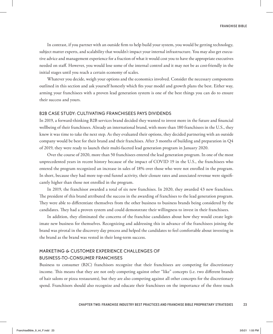In contrast, if you partner with an outside firm to help build your system, you would be getting technology, subject matter experts, and scalability that wouldn't impact your internal infrastructure. You may also get executive advice and management experience for a fraction of what it would cost you to have the appropriate executives needed on staff. However, you would lose some of the internal control and it may not be as cost-friendly in the initial stages until you reach a certain economy of scales.

Whatever you decide, weigh your options and the economics involved. Consider the necessary components outlined in this section and ask yourself honestly which fits your model and growth plans the best. Either way, arming your franchisees with a proven lead generation system is one of the best things you can do to ensure their success and yours.

#### B2B CASE STUDY: CULTIVATING FRANCHISEES PAYS DIVIDENDS

In 2019, a forward-thinking B2B services brand decided they wanted to invest more in the future and financial wellbeing of their franchisees. Already an international brand, with more than 180 franchisees in the U.S., they knew it was time to take the next step. As they evaluated their options, they decided partnering with an outside company would be best for their brand and their franchises. After 3 months of building and preparation in Q4 of 2019, they were ready to launch their multi-faceted lead generation program in January 2020.

Over the course of 2020, more than 50 franchisees entered the lead generation program. In one of the most unprecedented years in recent history because of the impact of COVID 19 in the U.S., the franchisees who entered the program recognized an increase in sales of 18% over those who were not enrolled in the program. In short, because they had more top-end funnel activity, their closure rates and associated revenue were significantly higher than those not enrolled in the program.

In 2019, the franchisor awarded a total of six new franchises. In 2020, they awarded 43 new franchises. The president of this brand attributed the success in the awarding of franchises to the lead generation program. They were able to differentiate themselves from the other business to business brands being considered by the candidates. They had a proven system and could demonstrate their willingness to invest in their franchisees.

In addition, they eliminated the concerns of the franchise candidates about how they would create legitimate new business for themselves. Recognizing and addressing this in advance of the franchisees joining the brand was pivotal in the discovery day process and helped the candidates to feel comfortable about investing in the brand as the brand was vested in their long-term success.

## MARKETING & CUSTOMER EXPERIENCE CHALLENGES OF BUSINESS-TO-CONSUMER FRANCHISES

Business to consumer (B2C) franchisors recognize that their franchisees are competing for discretionary income. This means that they are not only competing against other "like" concepts (i.e. two different brands of hair salons or pizza restaurants), but they are also competing against all other concepts for the discretionary spend. Franchisors should also recognize and educate their franchisees on the importance of the three touch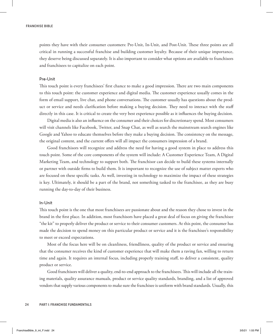points they have with their consumer customers: Pre-Unit, In-Unit, and Post-Unit. These three points are all critical in running a successful franchise and building customer loyalty. Because of their unique importance, they deserve being discussed separately. It is also important to consider what options are available to franchisors and franchisees to capitalize on each point.

#### Pre-Unit

This touch point is every franchisees' first chance to make a good impression. There are two main components to this touch point: the customer experience and digital media. The customer experience usually comes in the form of email support, live chat, and phone conversations. The customer usually has questions about the product or service and needs clarification before making a buying decision. They need to interact with the staff directly in this case. It is critical to create the very best experience possible as it influences the buying decision.

Digital media is also an influence on the consumer and their choices for discretionary spend. Most consumers will visit channels like Facebook, Twitter, and Snap Chat, as well as search the mainstream search engines like Google and Yahoo to educate themselves before they make a buying decision. The consistency on the message, the original content, and the current offers will all impact the consumers impression of a brand.

Good franchisors will recognize and address the need for having a good system in place to address this touch point. Some of the core components of the system will include: A Customer Experience Team, A Digital Marketing Team, and technology to support both. The franchisor can decide to build these systems internally or partner with outside firms to build them. It is important to recognize the use of subject matter experts who are focused on these specific tasks. As well, investing in technology to maximize the impact of these strategies is key. Ultimately, it should be a part of the brand, not something tasked to the franchisee, as they are busy running the day-to-day of their business.

#### In-Unit

This touch point is the one that most franchisees are passionate about and the reason they chose to invest in the brand in the first place. In addition, most franchisors have placed a great deal of focus on giving the franchisee "the kit" to properly deliver the product or service to their consumer customers. At this point, the consumer has made the decision to spend money on this particular product or service and it is the franchisee's responsibility to meet or exceed expectations.

Most of the focus here will be on cleanliness, friendliness, quality of the product or service and ensuring that the consumer receives the kind of customer experience that will make them a raving fan, willing to return time and again. It requires an internal focus, including properly training staff, to deliver a consistent, quality product or service.

Good franchisors will deliver a quality, end-to-end approach to the franchisees. This will include all the training materials, quality assurance manuals, product or service quality standards, branding, and a list of approved vendors that supply various components to make sure the franchisee is uniform with brand standards. Usually, this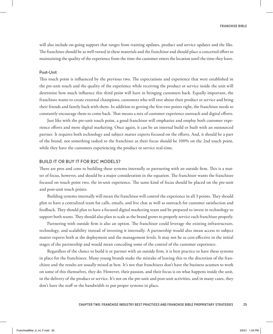will also include on-going support that ranges from training updates, product and service updates and the like. The franchisee should be as well-versed in these materials and the franchisor and should place a concerted effort to maintaining the quality of the experience from the time the customer enters the location until the time they leave.

#### Post-Unit

This touch point is influenced by the previous two. The expectations and experience that were established in the pre-unit touch and the quality of the experience while receiving the product or service inside the unit will determine how much influence this third point will have in bringing customers back. Equally important, the franchisee wants to create external champions, customers who will rave about their product or service and bring their friends and family back with them. In addition to getting the first two points right, the franchisee needs to constantly encourage them to come back. That means a mix of customer experience outreach and digital efforts.

Just like with the pre-unit touch point, a good franchisor will emphasize and employ both customer experience efforts and more digital marketing. Once again, it can be an internal build or built with an outsourced partner. It requires both technology and subject matter experts focused on the efforts. And, it should be a part of the brand, not something tasked to the franchisee as their focus should be 100% on the 2nd touch point, while they have the customers experiencing the product or service real-time.

#### BUILD IT OR BUY IT FOR B2C MODELS?

There are pros and cons to building these systems internally or partnering with an outside firm. This is a matter of focus, however, and should be a major consideration in the equation. The franchisor wants the franchisee focused on touch point two, the in-unit experience. The same kind of focus should be placed on the pre-unit and post-unit touch points.

Building systems internally will mean the franchisor will control the experience in all 3 points. They should plan to have a centralized team for calls, emails, and live chat as well as outreach for customer satisfaction and feedback. They should plan to have a focused digital marketing team and be prepared to invest in technology to support both teams. They should also plan to scale as the brand grows to properly service each franchisee properly.

Partnering with outside firm is also an option. The franchisor could leverage the existing infrastructure, technology, and scalability instead of investing it internally. A partnership would also mean access to subject matter experts both at the deployment and the management levels. It may not be as cost-effective in the initial stages of the partnership and would mean conceding some of the control of the customer experience.

Regardless of the choice to build it or partner with an outside firm, it is best practice to have these systems in place for the franchisees. Many young brands make the mistake of leaving this to the discretion of the franchisee and the results are usually mixed at best. It's not that franchisees don't have the business acumen to work on some of this themselves, they do. However, their passion, and their focus is on what happens inside the unit, in the delivery of the product or service. It's not on the pre-unit and post-unit activities, and in many cases, they don't have the staff or the bandwidth to put proper systems in place.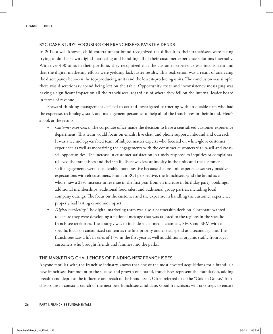#### B2C CASE STUDY: FOCUSING ON FRANCHISEES PAYS DIVIDENDS

In 2019, a well-known, child entertainment brand recognized the difficulties their franchisees were facing trying to do their own digital marketing and handling all of their customer experience solutions internally. With over 400 units in their portfolio, they recognized that the customer experience was inconsistent and that the digital marketing efforts were yielding lack-luster results. This realization was a result of analyzing the discrepancy between the top-producing units and the lowest-producing units. The conclusion was simple: there was discretionary spend being left on the table. Opportunity costs and inconsistency messaging was having a significant impact on all the franchisees, regardless of where they fell on the internal leader board in terms of revenue.

Forward-thinking management decided to act and investigated partnering with an outside firm who had the expertise, technology, staff, and management personnel to help all of the franchisees in their brand. Here's a look at the results:

- *Customer experience.* The corporate office made the decision to have a centralized customer experience department. This team would focus on emails, live chat, and phone support, inbound and outreach. It was a technology-enabled team of subject matter experts who focused on white-glove customer experience as well as monetizing the engagements with the consumer customers via up-sell and crosssell opportunities. The increase in customer satisfaction in timely response to inquiries or complaints relieved the franchisees and their staff. There was less animosity in the units and the customer – staff engagements were considerably more positive because the pre-unit experience set very positive expectations with eh customers. From an ROI perspective, the franchisees (and the brand as a whole) saw a 28% increase in revenue in the first year from an increase in birthday party bookings, additional memberships, additional food sales, and additional group parties, including local company outings. The focus on the customer and the expertise in handling the customer experience properly had lasting economic impact.
- *Digital marketing.* The digital marketing team was also a partnership decision. Corporate wanted to ensure they were developing a national message that was tailored to the regions in the specific franchisee territories. The strategy was to include social media channels, SEO, and SEM with a specific focus on customized content as the first priority and the ad spend as a secondary one. The franchisees saw a lift in sales of 17% in the first year as well as additional organic traffic from loyal customers who brought friends and families into the parks.

#### THE MARKETING CHALLENGES OF FINDING NEW FRANCHISEES

Anyone familiar with the franchise industry knows that one of the most coveted acquisitions for a brand is a new franchisee. Paramount to the success and growth of a brand, franchisees represent the foundation, adding breadth and depth to the influence and reach of the brand itself. Often referred to as the "Golden Goose," franchisors are in constant search of the next best franchisee candidate. Good franchisors will take steps to ensure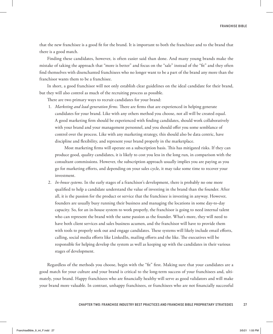that the new franchisee is a good fit for the brand. It is important to both the franchisee and to the brand that there is a good match.

Finding these candidates, however, is often easier said than done. And many young brands make the mistake of taking the approach that "more is better" and focus on the "sale" instead of the "fit" and they often find themselves with disenchanted franchisees who no longer want to be a part of the brand any more than the franchisor wants them to be a franchisee.

In short, a good franchisor will not only establish clear guidelines on the ideal candidate for their brand, but they will also control as much of the recruiting process as possible.

There are two primary ways to recruit candidates for your brand:

1. *Marketing and lead-generation firms.* There are firms that are experienced in helping generate candidates for your brand. Like with any others method you choose, not all will be created equal. A good marketing firm should be experienced with finding candidates, should work collaboratively with your brand and your management personnel, and you should offer you some semblance of control over the process. Like with any marketing strategy, this should also be data centric, have discipline and flexibility, and represent your brand properly in the marketplace.

Most marketing firms will operate on a subscription basis. This has mitigated risks. If they can produce good, quality candidates, it is likely to cost you less in the long run, in comparison with the consultant commissions. However, the subscription approach usually implies you are paying as you go for marketing efforts, and depending on your sales cycle, it may take some time to recover your investment.

2. *In-house systems*. In the early stages of a franchisor's development, there is probably no one more qualified to help a candidate understand the value of investing in the brand than the founder. After all, it is the passion for the product or service that the franchisee is investing in anyway. However, founders are usually busy running their business and managing the locations in some day-to-day capacity. So, for an in-house system to work properly, the franchisor is going to need internal talent who can represent the brand with the same passion as the founder. What's more, they will need to have both client services and sales business acumen, and the franchisor will have to provide them with tools to properly seek out and engage candidates. These systems will likely include email efforts, calling, social media efforts like LinkedIn, mailing efforts and the like. The executives will be responsible for helping develop the system as well as keeping up with the candidates in their various stages of development.

Regardless of the methods you choose, begin with the "fit" first. Making sure that your candidates are a good match for your culture and your brand is critical to the long-term success of your franchisees and, ultimately, your brand. Happy franchisees who are financially healthy will serve as good validators and will make your brand more valuable. In contrast, unhappy franchisees, or franchisees who are not financially successful